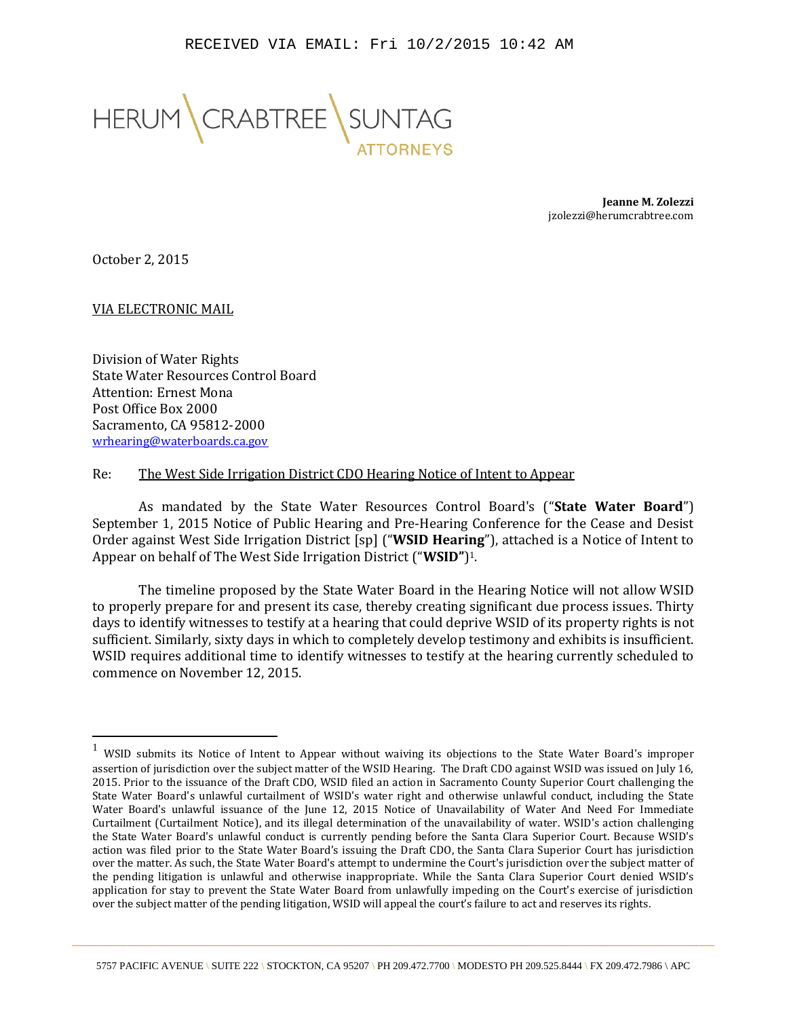

**Jeanne M. Zolezzi** jzolezzi@herumcrabtree.com

October 2, 2015

 $\overline{a}$ 

VIA ELECTRONIC MAIL

Division of Water Rights State Water Resources Control Board Attention: Ernest Mona Post Office Box 2000 Sacramento, CA 95812-2000 [wrhearing@waterboards.ca.gov](mailto:wrhearing@waterboards.ca.gov)

## Re: The West Side Irrigation District CDO Hearing Notice of Intent to Appear

As mandated by the State Water Resources Control Board's ("**State Water Board**") September 1, 2015 Notice of Public Hearing and Pre-Hearing Conference for the Cease and Desist Order against West Side Irrigation District [sp] ("**WSID Hearing**"), attached is a Notice of Intent to Appear on behalf of The West Side Irrigation District ("**WSID"**) 1.

The timeline proposed by the State Water Board in the Hearing Notice will not allow WSID to properly prepare for and present its case, thereby creating significant due process issues. Thirty days to identify witnesses to testify at a hearing that could deprive WSID of its property rights is not sufficient. Similarly, sixty days in which to completely develop testimony and exhibits is insufficient. WSID requires additional time to identify witnesses to testify at the hearing currently scheduled to commence on November 12, 2015.

 $1$  WSID submits its Notice of Intent to Appear without waiving its objections to the State Water Board's improper assertion of jurisdiction over the subject matter of the WSID Hearing. The Draft CDO against WSID was issued on July 16, 2015. Prior to the issuance of the Draft CDO, WSID filed an action in Sacramento County Superior Court challenging the State Water Board's unlawful curtailment of WSID's water right and otherwise unlawful conduct, including the State Water Board's unlawful issuance of the June 12, 2015 Notice of Unavailability of Water And Need For Immediate Curtailment (Curtailment Notice), and its illegal determination of the unavailability of water. WSID's action challenging the State Water Board's unlawful conduct is currently pending before the Santa Clara Superior Court. Because WSID's action was filed prior to the State Water Board's issuing the Draft CDO, the Santa Clara Superior Court has jurisdiction over the matter. As such, the State Water Board's attempt to undermine the Court's jurisdiction over the subject matter of the pending litigation is unlawful and otherwise inappropriate. While the Santa Clara Superior Court denied WSID's application for stay to prevent the State Water Board from unlawfully impeding on the Court's exercise of jurisdiction over the subject matter of the pending litigation, WSID will appeal the court's failure to act and reserves its rights.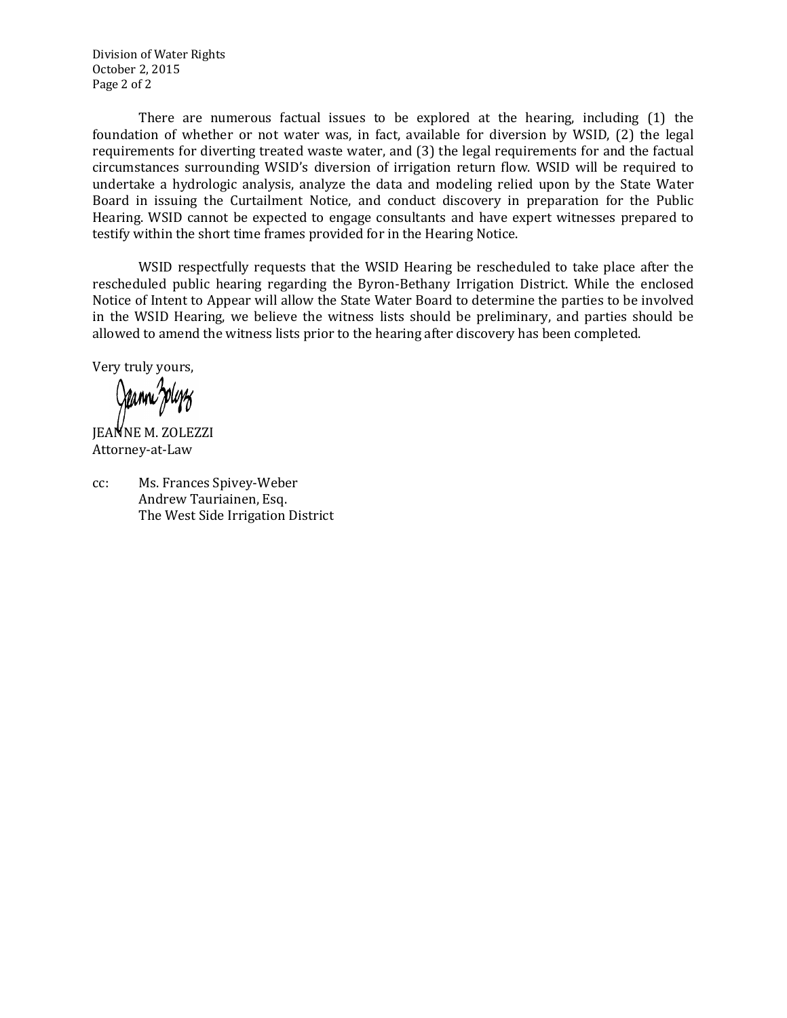Division of Water Rights October 2, 2015 Page 2 of 2

There are numerous factual issues to be explored at the hearing, including (1) the foundation of whether or not water was, in fact, available for diversion by WSID, (2) the legal requirements for diverting treated waste water, and (3) the legal requirements for and the factual circumstances surrounding WSID's diversion of irrigation return flow. WSID will be required to undertake a hydrologic analysis, analyze the data and modeling relied upon by the State Water Board in issuing the Curtailment Notice, and conduct discovery in preparation for the Public Hearing. WSID cannot be expected to engage consultants and have expert witnesses prepared to testify within the short time frames provided for in the Hearing Notice.

WSID respectfully requests that the WSID Hearing be rescheduled to take place after the rescheduled public hearing regarding the Byron-Bethany Irrigation District. While the enclosed Notice of Intent to Appear will allow the State Water Board to determine the parties to be involved in the WSID Hearing, we believe the witness lists should be preliminary, and parties should be allowed to amend the witness lists prior to the hearing after discovery has been completed.

Very truly yours,

JEANNE M. ZOLEZZI Attorney-at-Law

cc: Ms. Frances Spivey-Weber Andrew Tauriainen, Esq. The West Side Irrigation District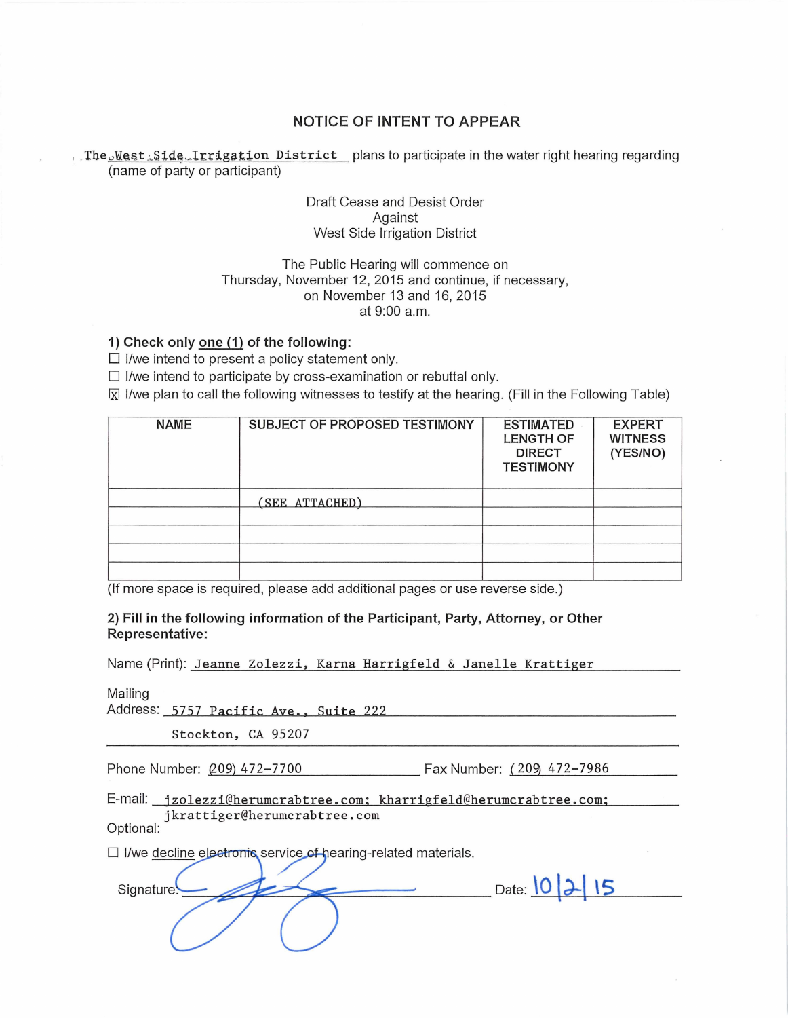# **NOTICE OF INTENT TO APPEAR**

The West Side Irrigation District plans to participate in the water right hearing regarding (name of party or participant)

## Draft Cease and Desist Order Against West Side Irrigation District

## The Public Hearing will commence on Thursday, November 12, 2015 and continue, if necessary, on November 13 and 16, 2015 at 9:00a.m.

#### **1) Check only one (1) of the following:**

 $\square$  I/we intend to present a policy statement only.

 $\Box$  I/we intend to participate by cross-examination or rebuttal only.

 $\bar{x}$  I/we plan to call the following witnesses to testify at the hearing. (Fill in the Following Table)

| <b>NAME</b> | SUBJECT OF PROPOSED TESTIMONY | <b>ESTIMATED</b><br><b>LENGTH OF</b><br><b>DIRECT</b><br><b>TESTIMONY</b> | <b>EXPERT</b><br><b>WITNESS</b><br>(YES/NO) |
|-------------|-------------------------------|---------------------------------------------------------------------------|---------------------------------------------|
|             | (SEE ATTACHED)                |                                                                           |                                             |
|             |                               |                                                                           |                                             |
|             |                               |                                                                           |                                             |
|             |                               |                                                                           |                                             |
|             |                               |                                                                           |                                             |

(If more space is required, please add additional pages or use reverse side.)

#### **2) Fill in the following information of the Participant, Party, Attorney, or Other Representative:**

Name (Print): Jeanne Zolezzi, Karna Harrigfeld & Janelle Krattiger

Mailing

|  | Address: 5757 Pacific Ave., Suite 222 |  |  |
|--|---------------------------------------|--|--|
|  |                                       |  |  |

Stockton, CA 95207

| Phone Number: (209) 472-7700 | Fax Number: (209) 472-7986 |  |
|------------------------------|----------------------------|--|
|                              |                            |  |

E-mail: jzolezzi@herumcrabtree.com; kharrigfeld@herumcrabtree.com; jkrattiger@herumcrabtree.com

Optional:

 $\Box$  I/we decline electronic service of hearing-related materials.

Signature

Date: 10 2 15